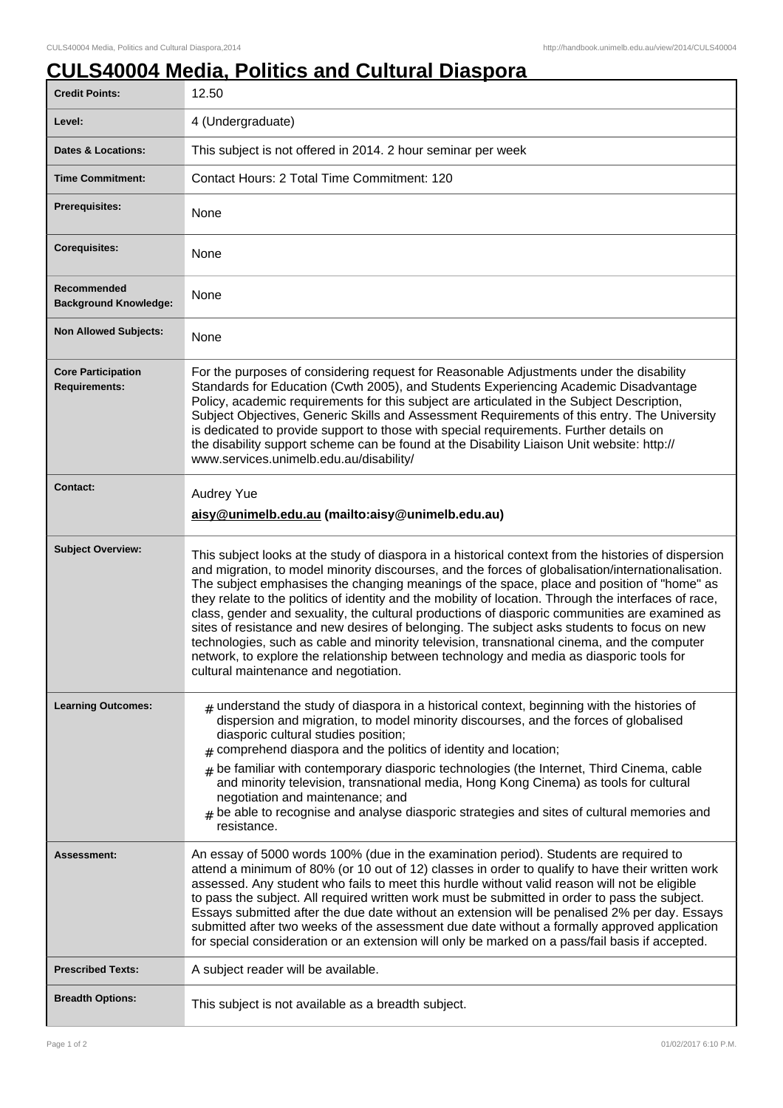## **CULS40004 Media, Politics and Cultural Diaspora**

| <b>Credit Points:</b>                             | 12.50                                                                                                                                                                                                                                                                                                                                                                                                                                                                                                                                                                                                                                                                                                                                                                                                                                                  |
|---------------------------------------------------|--------------------------------------------------------------------------------------------------------------------------------------------------------------------------------------------------------------------------------------------------------------------------------------------------------------------------------------------------------------------------------------------------------------------------------------------------------------------------------------------------------------------------------------------------------------------------------------------------------------------------------------------------------------------------------------------------------------------------------------------------------------------------------------------------------------------------------------------------------|
| Level:                                            | 4 (Undergraduate)                                                                                                                                                                                                                                                                                                                                                                                                                                                                                                                                                                                                                                                                                                                                                                                                                                      |
| <b>Dates &amp; Locations:</b>                     | This subject is not offered in 2014. 2 hour seminar per week                                                                                                                                                                                                                                                                                                                                                                                                                                                                                                                                                                                                                                                                                                                                                                                           |
| <b>Time Commitment:</b>                           | Contact Hours: 2 Total Time Commitment: 120                                                                                                                                                                                                                                                                                                                                                                                                                                                                                                                                                                                                                                                                                                                                                                                                            |
| <b>Prerequisites:</b>                             | None                                                                                                                                                                                                                                                                                                                                                                                                                                                                                                                                                                                                                                                                                                                                                                                                                                                   |
| <b>Corequisites:</b>                              | None                                                                                                                                                                                                                                                                                                                                                                                                                                                                                                                                                                                                                                                                                                                                                                                                                                                   |
| Recommended<br><b>Background Knowledge:</b>       | None                                                                                                                                                                                                                                                                                                                                                                                                                                                                                                                                                                                                                                                                                                                                                                                                                                                   |
| <b>Non Allowed Subjects:</b>                      | None                                                                                                                                                                                                                                                                                                                                                                                                                                                                                                                                                                                                                                                                                                                                                                                                                                                   |
| <b>Core Participation</b><br><b>Requirements:</b> | For the purposes of considering request for Reasonable Adjustments under the disability<br>Standards for Education (Cwth 2005), and Students Experiencing Academic Disadvantage<br>Policy, academic requirements for this subject are articulated in the Subject Description,<br>Subject Objectives, Generic Skills and Assessment Requirements of this entry. The University<br>is dedicated to provide support to those with special requirements. Further details on<br>the disability support scheme can be found at the Disability Liaison Unit website: http://<br>www.services.unimelb.edu.au/disability/                                                                                                                                                                                                                                       |
| <b>Contact:</b>                                   | <b>Audrey Yue</b><br>aisy@unimelb.edu.au (mailto:aisy@unimelb.edu.au)                                                                                                                                                                                                                                                                                                                                                                                                                                                                                                                                                                                                                                                                                                                                                                                  |
| <b>Subject Overview:</b>                          | This subject looks at the study of diaspora in a historical context from the histories of dispersion<br>and migration, to model minority discourses, and the forces of globalisation/internationalisation.<br>The subject emphasises the changing meanings of the space, place and position of "home" as<br>they relate to the politics of identity and the mobility of location. Through the interfaces of race,<br>class, gender and sexuality, the cultural productions of diasporic communities are examined as<br>sites of resistance and new desires of belonging. The subject asks students to focus on new<br>technologies, such as cable and minority television, transnational cinema, and the computer<br>network, to explore the relationship between technology and media as diasporic tools for<br>cultural maintenance and negotiation. |
| <b>Learning Outcomes:</b>                         | $_{\#}$ understand the study of diaspora in a historical context, beginning with the histories of<br>dispersion and migration, to model minority discourses, and the forces of globalised<br>diasporic cultural studies position;<br>comprehend diaspora and the politics of identity and location;<br>#<br>$#$ be familiar with contemporary diasporic technologies (the Internet, Third Cinema, cable                                                                                                                                                                                                                                                                                                                                                                                                                                                |
|                                                   | and minority television, transnational media, Hong Kong Cinema) as tools for cultural<br>negotiation and maintenance; and<br>be able to recognise and analyse diasporic strategies and sites of cultural memories and<br>#<br>resistance.                                                                                                                                                                                                                                                                                                                                                                                                                                                                                                                                                                                                              |
| Assessment:                                       | An essay of 5000 words 100% (due in the examination period). Students are required to<br>attend a minimum of 80% (or 10 out of 12) classes in order to qualify to have their written work<br>assessed. Any student who fails to meet this hurdle without valid reason will not be eligible<br>to pass the subject. All required written work must be submitted in order to pass the subject.<br>Essays submitted after the due date without an extension will be penalised 2% per day. Essays<br>submitted after two weeks of the assessment due date without a formally approved application<br>for special consideration or an extension will only be marked on a pass/fail basis if accepted.                                                                                                                                                       |
| <b>Prescribed Texts:</b>                          | A subject reader will be available.                                                                                                                                                                                                                                                                                                                                                                                                                                                                                                                                                                                                                                                                                                                                                                                                                    |
| <b>Breadth Options:</b>                           | This subject is not available as a breadth subject.                                                                                                                                                                                                                                                                                                                                                                                                                                                                                                                                                                                                                                                                                                                                                                                                    |